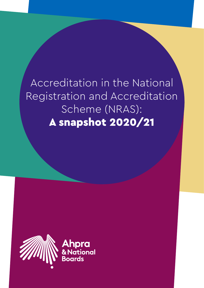Accreditation in the National Registration and Accreditation Scheme (NRAS): A snapshot 2020/21

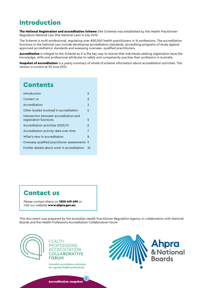# Introduction

The National Registration and Accreditation Scheme (the Scheme) was established by the Health Practitioner Regulation National Law (the National Law) in July 2010.

The Scheme is multi-professional, regulating over 800,000 health practitioners in 16 professions. The accreditation functions in the National Law include developing accreditation standards, accrediting programs of study against approved accreditation standards and assessing overseas- qualified practitioners.

Accreditation is integral to the Scheme as it is the key way to ensure that individuals seeking registration have the knowledge, skills and professional attributes to safely and competently practise their profession in Australia.

Snapshot of Accreditation is a yearly summary of whole of scheme information about accreditation activities. This version is current at 30 June 2021.

# **Contents**

| Introduction                                                     | 2            |
|------------------------------------------------------------------|--------------|
| Contact us                                                       | $\mathbf{2}$ |
| Accreditation                                                    | 3            |
| Other bodies involved in accreditation                           | 4            |
| Intersection between accreditation and<br>registration functions | 5            |
| Accreditation activities 2020/21                                 | 6            |
| Accreditation activity data over time                            | 7            |
| What's new in accreditation                                      | 8            |
| Overseas qualified practitioner assessments                      | -9           |
| Further details about work in accreditation                      | 10           |
|                                                                  |              |

# Contact us

Please contact Ahpra on 1300 419 495 or visit our website www.ahpra.gov.au.

This document was prepared by the Australian Health Practitioner Regulation Agency in collaboration with National Boards and the Health Professions Accreditation Collaborative Forum



**HEALTH PROFESSIONS ACCREDITATION COLLABORATIVE FORUM** 

Australia's accreditation authorities for regulated health professionals

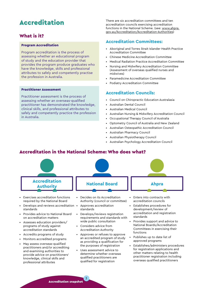# <span id="page-2-0"></span>Accreditation

# What is it?

#### Program Accreditation

Program accreditation is the process of assessing whether an educational program of study and the education provider that provides the program produce graduates who have the knowledge, skills and professional attributes to safely and competently practise the profession in Australia.

#### Practitioner Assessment

Practitioner assessment is the process of assessing whether an overseas-qualified practitioner has demonstrated the knowledge, clinical skills, and professional attributes to safely and competently practice the profession in Australia.

There are six accreditation committees and ten accreditation councils exercising accreditation functions in the National Scheme. (see: [www.ahpra.](https://www.ahpra.gov.au/Accreditation/Accreditation-Authorities.aspx) [gov.au/Accreditation/Accreditation-Authorities](https://www.ahpra.gov.au/Accreditation/Accreditation-Authorities.aspx))

## **Accreditation Committees:**

- Aboriginal and Torres Strait Islander Health Practice Accreditation Committee
- Chinese Medicine Accreditation Committee
- Medical Radiation Practice Accreditation Committee
- Nursing and Midwifery Accreditation Committee (Assessment of overseas qualified nurses and midwives)
- Paramedicine Accreditation Committee
- Podiatry Accreditation Committee

#### **Accreditation Councils:**

- Council on Chiropractic Education Australasia
- Australian Dental Council
- Australian Medical Council
- Australian Nursing & Midwifery Accreditation Council
- Occupational Therapy Council of Australia
- Optometry Council of Australia and New Zealand
- Australian Osteopathic Accreditation Council
- Australian Pharmacy Council
- Australian Physiotherapy Council
- Australian Psychology Accreditation Council

# Accreditation in the National Scheme: Who does what?



determine whether overseas qualified practitioners are qualified for registration

other matters relating to health practitioner registration including overseas qualified practitioners

provide advice on practitioners' knowledge, clinical skills and professional attributes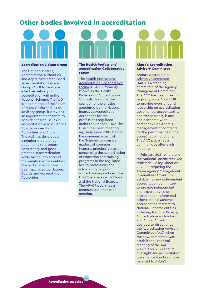# <span id="page-3-0"></span>Other bodies involved in accreditation



#### Accreditation Liaison Group

The National Boards, Accreditation Authorities and Ahpra have established an Accreditation Liaison Group (ALG) to facilitate effective delivery of accreditation within the National Scheme. The ALG is a committee of the Forum of NRAS Chairs and, as an advisory group, it provides an important mechanism to consider shared issues in accreditation across National Boards, Accreditation Authorities and Ahpra. The ALG has developed a number of [reference](https://www.ahpra.gov.au/Accreditation/Accreditation-reference-documents.aspx )  [documents](https://www.ahpra.gov.au/Accreditation/Accreditation-reference-documents.aspx ) to promote consistency and good practice in accreditation while taking into account the variation across entities. These documents have been approved by National Boards and Accreditation Authorities.

#### The Health Professions' Accreditation Collaborative Forum

The [Health Professions'](http://www.hpacf.org.au/)  [Accreditation Collaborative](http://www.hpacf.org.au/)  [Forum](http://www.hpacf.org.au/) (HPACF), formerly known as the Health Professions' Accreditation Councils' Forum, is the coalition of the entities appointed by the National Boards as Accreditation Authorities for the professions regulated under the National Law. The HPACF has been meeting regularly since 2007, before the commencement of the Scheme, to consider matters of common interest, principally matters concerning the accreditation of education and training programs in the regulated health professions and advocating for good accreditation practices. The HPACF engages with Ahpra and the National Boards. The HPACF publishes a [communique](http://hpacf.org.au/communiques/) after each meeting.

#### Ahpra's Accreditation Advisory Committee

Ahpra's [Accreditation](https://www.ahpra.gov.au/About-AHPRA/Who-We-Are/Agency-Management-Committee/Accreditation-Advisory-Committee.aspx)  [Advisory Committee](https://www.ahpra.gov.au/About-AHPRA/Who-We-Are/Agency-Management-Committee/Accreditation-Advisory-Committee.aspx)  (AAC) is a standing committee of the Agency Management Committee. The AAC has been meeting regularly since April 2018 to provide oversight and leadership on accreditation governance, accountability and transparency issues and a scheme-wide perspective on Ahpra's management of contracts for the performance of the accreditation functions. The AAC publishes a [communique](https://www.ahpra.gov.au/About-AHPRA/Who-We-Are/Agency-Management-Committee/Accreditation-Advisory-Committee.aspx) after each meeting.

In February 2021, Ahpra and the National Boards received Ministerial Policy Direction 2020-01 requiring the Ahpra Agency Management Committee (AManC) to establish a new independent accreditation committee to provide independent and expert advice on accreditation reform and other National Scheme accreditation matters to National Scheme entities including National Boards, Accreditation authorities and Ahpra. AManC decided to discontinue the Accreditation Advisory Committee (AAC) when the new committee was established. The final meeting of the AAC was in April 2021 and its oversight and accreditation governance functions have reverted to AManC.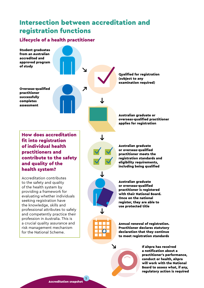# <span id="page-4-0"></span>Intersection between accreditation and registration functions

# Lifecycle of a health practitioner



a notification about a practitioner's performance, conduct or health, Ahpra will work with the National Board to assess what, if any, regulatory action is required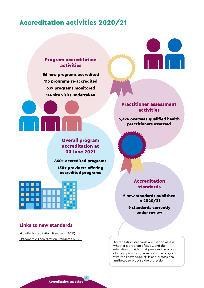# <span id="page-5-0"></span>Accreditation activities 2020/21



Overall program accreditation at 30 June 2021

860+ accredited programs 130+ providers offering accredited programs



## Links to new standards

[Midwife Accreditation Standards \(2021\)](https://www.anmac.org.au/document/midwife-accreditation-standards-2021) [Osteopathic Accreditation Standards \(2021\)](https://www.osteopathyboard.gov.au/Accreditation.aspx)  Practitioner assessment activities

5,326 overseas-qualified health practitioners assessed

> Accreditation standards

2 new standards published in 2020/21

> 9 standards currently under review

Accreditation standards are used to assess whether a program of study, and the education provider that provides the program of study, provides graduates of the program with the knowledge, skills and professional attributes to practise the profession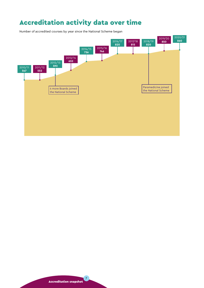# <span id="page-6-0"></span>Accreditation activity data over time

Number of accredited courses by year since the National Scheme began

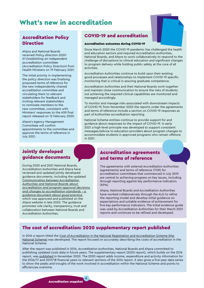# <span id="page-7-0"></span>What's new in accreditation



# Accreditation Policy **Direction**

Ahpra and National Boards received *Policy direction 2020- 01 Establishing an independent accreditation committee*  (Accreditation Policy Direction) from Health Ministers on 19 February 2021.

The initial priority in implementing the policy direction was finalising proposed terms of reference for the new independently chaired accreditation committee and circulating them to relevant stakeholders for feedback and inviting relevant stakeholders to nominate members to the new committee, consistent with Ministers' responses to the ASR final report released on 12 February 2020.

Ahpra's Agency Management Committee will confirm appointments to the committee and approve the terms of reference in July 2021.

# COVID-19 and accreditation

#### Accreditation outcomes during COVID-19

Since March 2020 the COVID-19 pandemic has challenged the health and education sectors and required Accreditation Authorities, National Boards, and Ahpra to work collaboratively to respond to the challenge of disruptions to clinical education and significant changes to program delivery while holding public safety at the core of all activities.

Accreditation Authorities continue to build upon their existing good processes and relationships to implement COVID-19 specific monitoring that is critical in assuring graduate competence.

Accreditation Authorities and their National Boards work together and maintain close communication to ensure the risks of students not achieving the required clinical capabilities are monitored and managed accordingly.

To monitor and manage risks associated with downstream impacts of COVID-19, from November 2020 the reports under the agreements and terms of reference include a section on COVID-19 responses as part of Authorities accreditation reporting.

National Scheme entities continue to provide support for and guidance about responses to the impact of COVID-19. In early 2021 a high-level principle was developed to support consistent messages/advice to education providers about program changes to accommodate students in approved programs who remain offshore in 2021.

# Jointly developed guidance documents

During 2020 and 2021 National Boards, Accreditation Authorities and Ahpra have reviewed and updated jointly developed guidance documents, including the updated *[Communication between Accreditation](https://www.ahpra.gov.au/Publications/Accreditation-publications.aspx)  [Authorities and National Boards about](https://www.ahpra.gov.au/Publications/Accreditation-publications.aspx)  [accreditation and program approval decisions](https://www.ahpra.gov.au/Publications/Accreditation-publications.aspx)  [and changes to accreditation standards – a](https://www.ahpra.gov.au/Publications/Accreditation-publications.aspx)  [guidance document about good practice](https://www.ahpra.gov.au/Publications/Accreditation-publications.aspx)*, which was approved and published on the Ahpra website in late 2020. The guidance promotes role clarity, transparency, trust and collaboration between National Boards and Accreditation Authorities.

# Accreditation agreements and terms of reference

The agreements with external Accreditation Authorities (agreements) and terms of reference (TOR) for accreditation committees that commenced in July 2019 are central to achieving progress on key issues, including through reporting against key performance indicators (KPIs).

Ahpra, National Boards and Accreditation Authorities have worked collaboratively through the ALG to refine the reporting model and develop initial guidance on expectations and suitable evidence of achievement for five key performance indicators. The initial evidence guide was used by Accreditation Authorities for their March 2021 reports and continues to be refined and developed.

# The cost of accreditation: 2020 supplementary report published

8

In 2016 a report titled the Cost of Accreditation in the National Registration and Accreditation Scheme (the [National Scheme\)](https://www.ahpra.gov.au/Publications/Accreditation-publications.aspx) was developed. The report focused on accurately describing the costs of accreditation in the National Scheme.

After the report was published in 2016, Accreditation Authorities, National Boards and Ahpra committed to publishing updated costs data in future years. The supplementary report (2020 report), which builds on the 2016 report, was [published](https://www.ahpra.gov.au/Publications/Accreditation-publications.aspx) in November 2020. The 2020 report adds income, expenditure and activity information for the 2016/17 and 2017/18 financial years to relevant sections of the 2016 report. It also gives a five-year data series to show the peaks and troughs of the work involved in accreditation within the National Scheme and points to efficiencies overtime.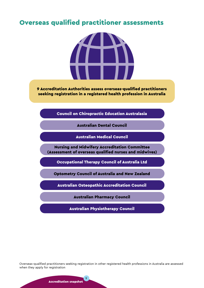# <span id="page-8-0"></span>Overseas qualified practitioner assessments



9 Accreditation Authorities assess overseas-qualified practitioners seeking registration in a registered health profession in Australia

Council on Chiropractic Education Australasia

Australian Dental Council

Australian Medical Council

Nursing and Midwifery Accreditation Committee (Assessment of overseas qualified nurses and midwives)

Occupational Therapy Council of Australia Ltd

Optometry Council of Australia and New Zealand

Australian Osteopathic Accreditation Council

Australian Pharmacy Council

Australian Physiotherapy Council

Overseas-qualified practitioners seeking registration in other registered health professions in Australia are assessed when they apply for registration